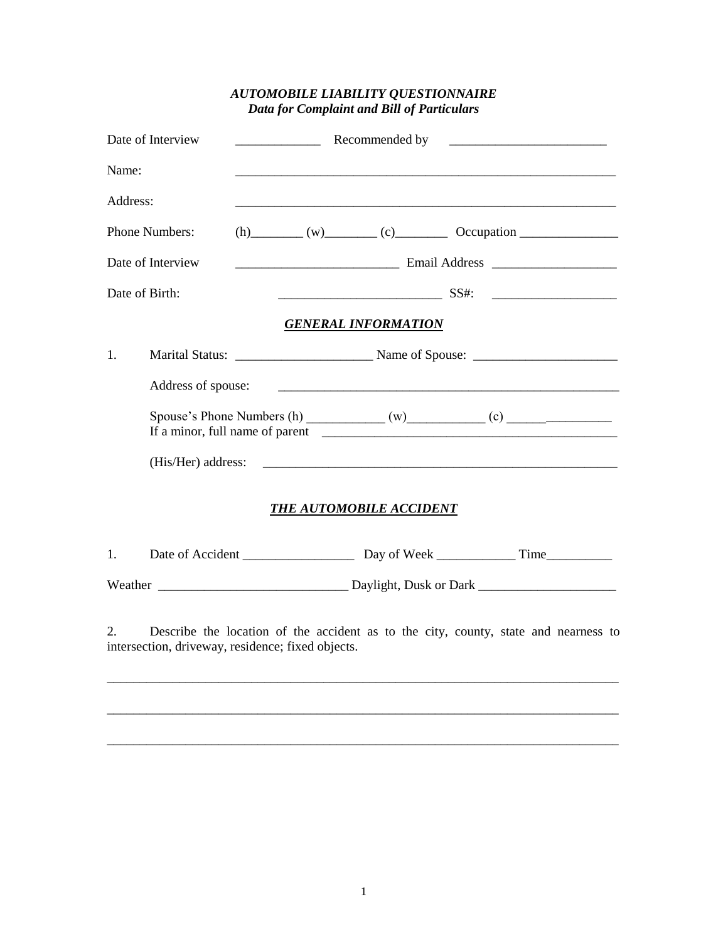## *AUTOMOBILE LIABILITY QUESTIONNAIRE Data for Complaint and Bill of Particulars*

| Date of Interview |                                                                                                                                          | Recommended by<br><u> 1980 - Jan Barbara Barbara, manazarta bashkar a shekara 1980 - André a Santa Barbara a shekara 1980 - André a</u> |                                                                                                                       |                            |  |  |
|-------------------|------------------------------------------------------------------------------------------------------------------------------------------|-----------------------------------------------------------------------------------------------------------------------------------------|-----------------------------------------------------------------------------------------------------------------------|----------------------------|--|--|
| Name:             |                                                                                                                                          |                                                                                                                                         | <u> 1989 - Johann Stoff, deutscher Stoff, der Stoff, der Stoff, der Stoff, der Stoff, der Stoff, der Stoff, der S</u> |                            |  |  |
| Address:          |                                                                                                                                          |                                                                                                                                         |                                                                                                                       |                            |  |  |
|                   | <b>Phone Numbers:</b>                                                                                                                    |                                                                                                                                         | $(h)$ (v) (c) Cocupation $\sim$                                                                                       |                            |  |  |
|                   | Date of Interview                                                                                                                        |                                                                                                                                         |                                                                                                                       |                            |  |  |
|                   | Date of Birth:                                                                                                                           |                                                                                                                                         |                                                                                                                       |                            |  |  |
|                   |                                                                                                                                          |                                                                                                                                         |                                                                                                                       | <b>GENERAL INFORMATION</b> |  |  |
| 1.                |                                                                                                                                          |                                                                                                                                         |                                                                                                                       |                            |  |  |
|                   | Address of spouse:                                                                                                                       |                                                                                                                                         |                                                                                                                       |                            |  |  |
|                   |                                                                                                                                          |                                                                                                                                         |                                                                                                                       |                            |  |  |
|                   |                                                                                                                                          |                                                                                                                                         |                                                                                                                       |                            |  |  |
|                   |                                                                                                                                          |                                                                                                                                         | THE AUTOMOBILE ACCIDENT                                                                                               |                            |  |  |
| 1.                |                                                                                                                                          |                                                                                                                                         |                                                                                                                       |                            |  |  |
|                   |                                                                                                                                          |                                                                                                                                         |                                                                                                                       |                            |  |  |
| 2.                | Describe the location of the accident as to the city, county, state and nearness to<br>intersection, driveway, residence; fixed objects. |                                                                                                                                         |                                                                                                                       |                            |  |  |
|                   |                                                                                                                                          |                                                                                                                                         |                                                                                                                       |                            |  |  |

\_\_\_\_\_\_\_\_\_\_\_\_\_\_\_\_\_\_\_\_\_\_\_\_\_\_\_\_\_\_\_\_\_\_\_\_\_\_\_\_\_\_\_\_\_\_\_\_\_\_\_\_\_\_\_\_\_\_\_\_\_\_\_\_\_\_\_\_\_\_\_\_\_\_\_\_\_\_

\_\_\_\_\_\_\_\_\_\_\_\_\_\_\_\_\_\_\_\_\_\_\_\_\_\_\_\_\_\_\_\_\_\_\_\_\_\_\_\_\_\_\_\_\_\_\_\_\_\_\_\_\_\_\_\_\_\_\_\_\_\_\_\_\_\_\_\_\_\_\_\_\_\_\_\_\_\_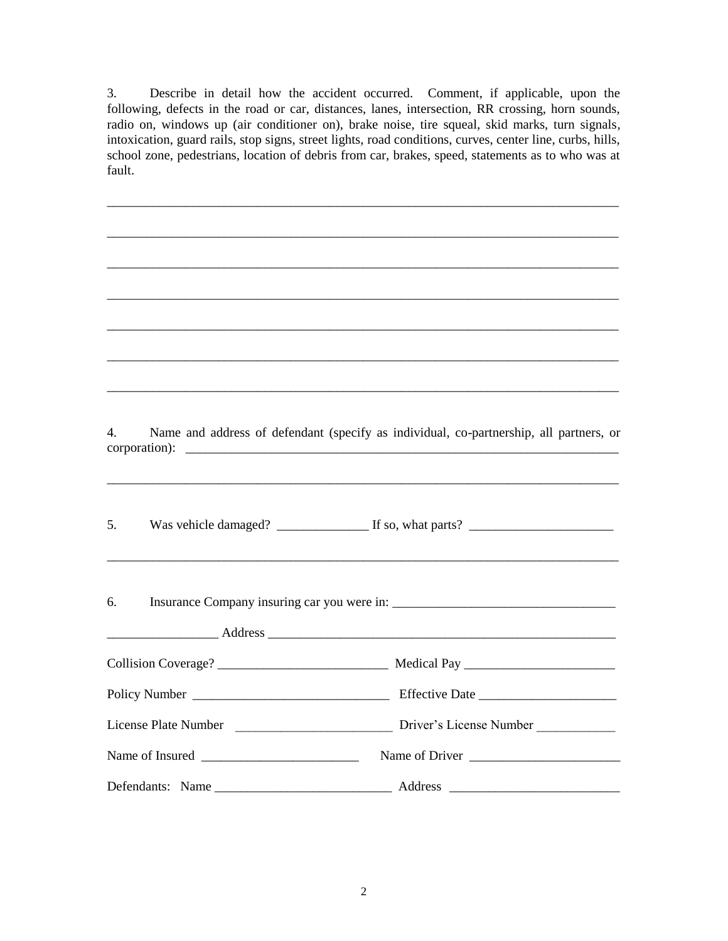3. Describe in detail how the accident occurred. Comment, if applicable, upon the following, defects in the road or car, distances, lanes, intersection, RR crossing, horn sounds, radio on, windows up (air conditioner on), brake noise, tire squeal, skid marks, turn signals, intoxication, guard rails, stop signs, street lights, road conditions, curves, center line, curbs, hills, school zone, pedestrians, location of debris from car, brakes, speed, statements as to who was at fault.

\_\_\_\_\_\_\_\_\_\_\_\_\_\_\_\_\_\_\_\_\_\_\_\_\_\_\_\_\_\_\_\_\_\_\_\_\_\_\_\_\_\_\_\_\_\_\_\_\_\_\_\_\_\_\_\_\_\_\_\_\_\_\_\_\_\_\_\_\_\_\_\_\_\_\_\_\_\_

\_\_\_\_\_\_\_\_\_\_\_\_\_\_\_\_\_\_\_\_\_\_\_\_\_\_\_\_\_\_\_\_\_\_\_\_\_\_\_\_\_\_\_\_\_\_\_\_\_\_\_\_\_\_\_\_\_\_\_\_\_\_\_\_\_\_\_\_\_\_\_\_\_\_\_\_\_\_

\_\_\_\_\_\_\_\_\_\_\_\_\_\_\_\_\_\_\_\_\_\_\_\_\_\_\_\_\_\_\_\_\_\_\_\_\_\_\_\_\_\_\_\_\_\_\_\_\_\_\_\_\_\_\_\_\_\_\_\_\_\_\_\_\_\_\_\_\_\_\_\_\_\_\_\_\_\_

4. Name and address of defendant (specify as individual, co-partnership, all partners, or  $corportion:$ 

\_\_\_\_\_\_\_\_\_\_\_\_\_\_\_\_\_\_\_\_\_\_\_\_\_\_\_\_\_\_\_\_\_\_\_\_\_\_\_\_\_\_\_\_\_\_\_\_\_\_\_\_\_\_\_\_\_\_\_\_\_\_\_\_\_\_\_\_\_\_\_\_\_\_\_\_\_\_

\_\_\_\_\_\_\_\_\_\_\_\_\_\_\_\_\_\_\_\_\_\_\_\_\_\_\_\_\_\_\_\_\_\_\_\_\_\_\_\_\_\_\_\_\_\_\_\_\_\_\_\_\_\_\_\_\_\_\_\_\_\_\_\_\_\_\_\_\_\_\_\_\_\_\_\_\_\_

\_\_\_\_\_\_\_\_\_\_\_\_\_\_\_\_\_\_\_\_\_\_\_\_\_\_\_\_\_\_\_\_\_\_\_\_\_\_\_\_\_\_\_\_\_\_\_\_\_\_\_\_\_\_\_\_\_\_\_\_\_\_\_\_\_\_\_\_\_\_\_\_\_\_\_\_\_\_

\_\_\_\_\_\_\_\_\_\_\_\_\_\_\_\_\_\_\_\_\_\_\_\_\_\_\_\_\_\_\_\_\_\_\_\_\_\_\_\_\_\_\_\_\_\_\_\_\_\_\_\_\_\_\_\_\_\_\_\_\_\_\_\_\_\_\_\_\_\_\_\_\_\_\_\_\_\_

5. Was vehicle damaged? \_\_\_\_\_\_\_\_\_\_\_\_\_\_ If so, what parts? \_\_\_\_\_\_\_\_\_\_\_\_\_\_\_\_\_\_\_\_\_\_

| 6. Insurance Company insuring car you were in: _________________________________ |                |
|----------------------------------------------------------------------------------|----------------|
|                                                                                  |                |
|                                                                                  |                |
|                                                                                  |                |
|                                                                                  |                |
| Name of Insured                                                                  | Name of Driver |
|                                                                                  |                |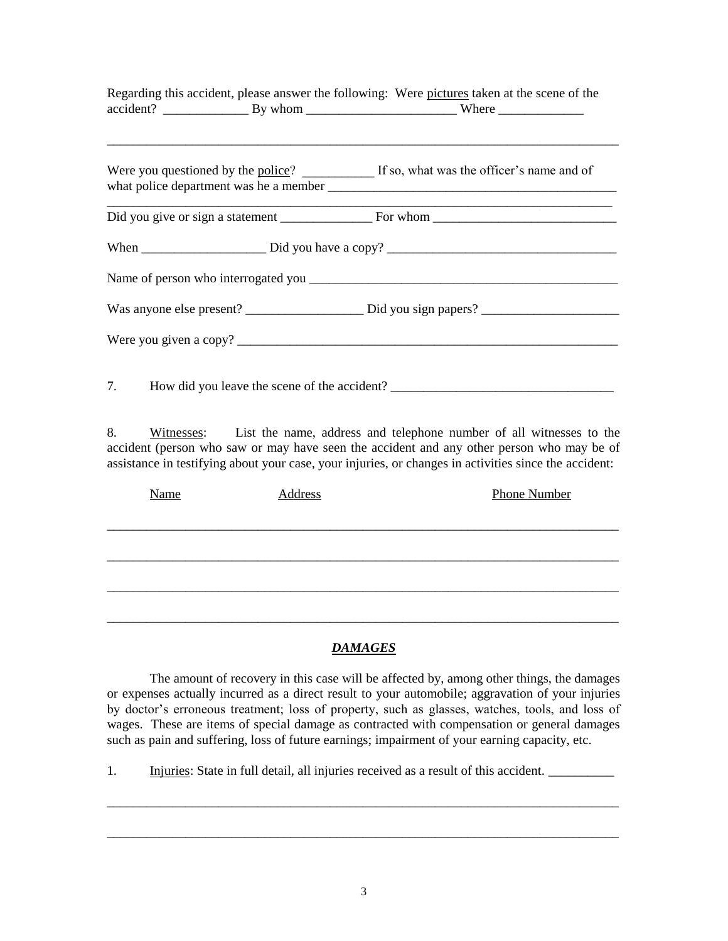|                                                 | Regarding this accident, please answer the following: Were pictures taken at the scene of the |
|-------------------------------------------------|-----------------------------------------------------------------------------------------------|
|                                                 | Were you questioned by the police? If so, what was the officer's name and of                  |
|                                                 |                                                                                               |
|                                                 |                                                                                               |
|                                                 |                                                                                               |
|                                                 |                                                                                               |
|                                                 |                                                                                               |
| 7. How did you leave the scene of the accident? |                                                                                               |

8. Witnesses: List the name, address and telephone number of all witnesses to the accident (person who saw or may have seen the accident and any other person who may be of assistance in testifying about your case, your injuries, or changes in activities since the accident:

| Name | Phone Number<br>Address |  |
|------|-------------------------|--|
|      |                         |  |
|      |                         |  |
|      |                         |  |
|      |                         |  |
|      |                         |  |
|      |                         |  |

## *DAMAGES*

The amount of recovery in this case will be affected by, among other things, the damages or expenses actually incurred as a direct result to your automobile; aggravation of your injuries by doctor's erroneous treatment; loss of property, such as glasses, watches, tools, and loss of wages. These are items of special damage as contracted with compensation or general damages such as pain and suffering, loss of future earnings; impairment of your earning capacity, etc.

1. Injuries: State in full detail, all injuries received as a result of this accident.

\_\_\_\_\_\_\_\_\_\_\_\_\_\_\_\_\_\_\_\_\_\_\_\_\_\_\_\_\_\_\_\_\_\_\_\_\_\_\_\_\_\_\_\_\_\_\_\_\_\_\_\_\_\_\_\_\_\_\_\_\_\_\_\_\_\_\_\_\_\_\_\_\_\_\_\_\_\_

\_\_\_\_\_\_\_\_\_\_\_\_\_\_\_\_\_\_\_\_\_\_\_\_\_\_\_\_\_\_\_\_\_\_\_\_\_\_\_\_\_\_\_\_\_\_\_\_\_\_\_\_\_\_\_\_\_\_\_\_\_\_\_\_\_\_\_\_\_\_\_\_\_\_\_\_\_\_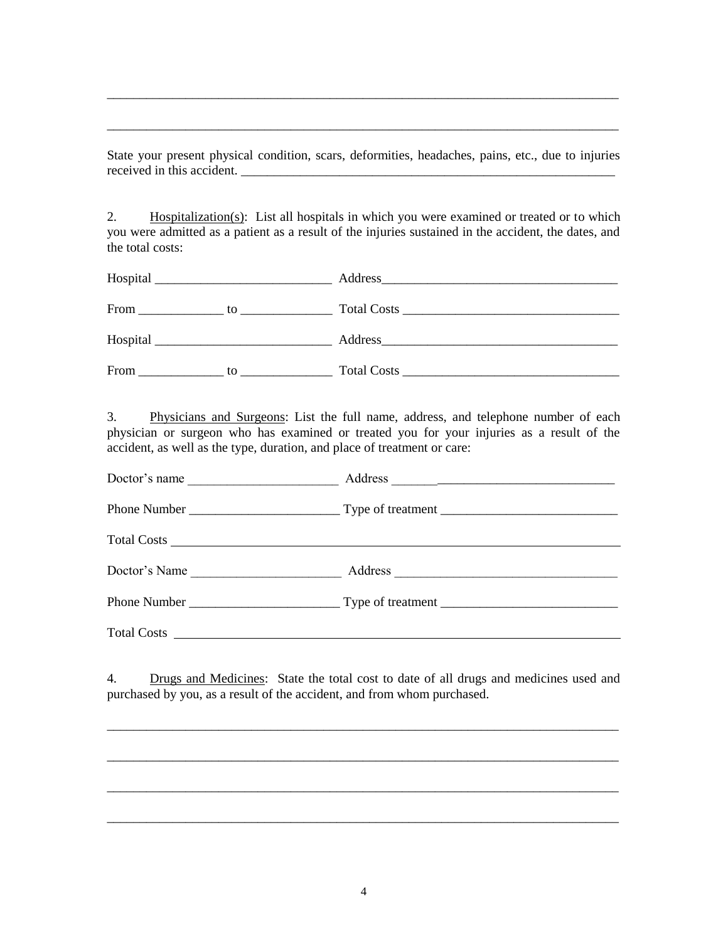State your present physical condition, scars, deformities, headaches, pains, etc., due to injuries received in this accident.

\_\_\_\_\_\_\_\_\_\_\_\_\_\_\_\_\_\_\_\_\_\_\_\_\_\_\_\_\_\_\_\_\_\_\_\_\_\_\_\_\_\_\_\_\_\_\_\_\_\_\_\_\_\_\_\_\_\_\_\_\_\_\_\_\_\_\_\_\_\_\_\_\_\_\_\_\_\_

\_\_\_\_\_\_\_\_\_\_\_\_\_\_\_\_\_\_\_\_\_\_\_\_\_\_\_\_\_\_\_\_\_\_\_\_\_\_\_\_\_\_\_\_\_\_\_\_\_\_\_\_\_\_\_\_\_\_\_\_\_\_\_\_\_\_\_\_\_\_\_\_\_\_\_\_\_\_

2. Hospitalization(s): List all hospitals in which you were examined or treated or to which you were admitted as a patient as a result of the injuries sustained in the accident, the dates, and the total costs:

| From     | to the contract of the contract of the contract of the contract of the contract of the contract of the contract of the contract of the contract of the contract of the contract of the contract of the contract of the contrac | Total Costs Total Costs |
|----------|--------------------------------------------------------------------------------------------------------------------------------------------------------------------------------------------------------------------------------|-------------------------|
| Hospital |                                                                                                                                                                                                                                |                         |
| From     | to                                                                                                                                                                                                                             | Total Costs Total Costs |

3. Physicians and Surgeons: List the full name, address, and telephone number of each physician or surgeon who has examined or treated you for your injuries as a result of the accident, as well as the type, duration, and place of treatment or care:

| Doctor's name |  |
|---------------|--|
|               |  |
|               |  |
|               |  |
|               |  |
|               |  |

4. Drugs and Medicines: State the total cost to date of all drugs and medicines used and purchased by you, as a result of the accident, and from whom purchased.

\_\_\_\_\_\_\_\_\_\_\_\_\_\_\_\_\_\_\_\_\_\_\_\_\_\_\_\_\_\_\_\_\_\_\_\_\_\_\_\_\_\_\_\_\_\_\_\_\_\_\_\_\_\_\_\_\_\_\_\_\_\_\_\_\_\_\_\_\_\_\_\_\_\_\_\_\_\_

\_\_\_\_\_\_\_\_\_\_\_\_\_\_\_\_\_\_\_\_\_\_\_\_\_\_\_\_\_\_\_\_\_\_\_\_\_\_\_\_\_\_\_\_\_\_\_\_\_\_\_\_\_\_\_\_\_\_\_\_\_\_\_\_\_\_\_\_\_\_\_\_\_\_\_\_\_\_

\_\_\_\_\_\_\_\_\_\_\_\_\_\_\_\_\_\_\_\_\_\_\_\_\_\_\_\_\_\_\_\_\_\_\_\_\_\_\_\_\_\_\_\_\_\_\_\_\_\_\_\_\_\_\_\_\_\_\_\_\_\_\_\_\_\_\_\_\_\_\_\_\_\_\_\_\_\_

\_\_\_\_\_\_\_\_\_\_\_\_\_\_\_\_\_\_\_\_\_\_\_\_\_\_\_\_\_\_\_\_\_\_\_\_\_\_\_\_\_\_\_\_\_\_\_\_\_\_\_\_\_\_\_\_\_\_\_\_\_\_\_\_\_\_\_\_\_\_\_\_\_\_\_\_\_\_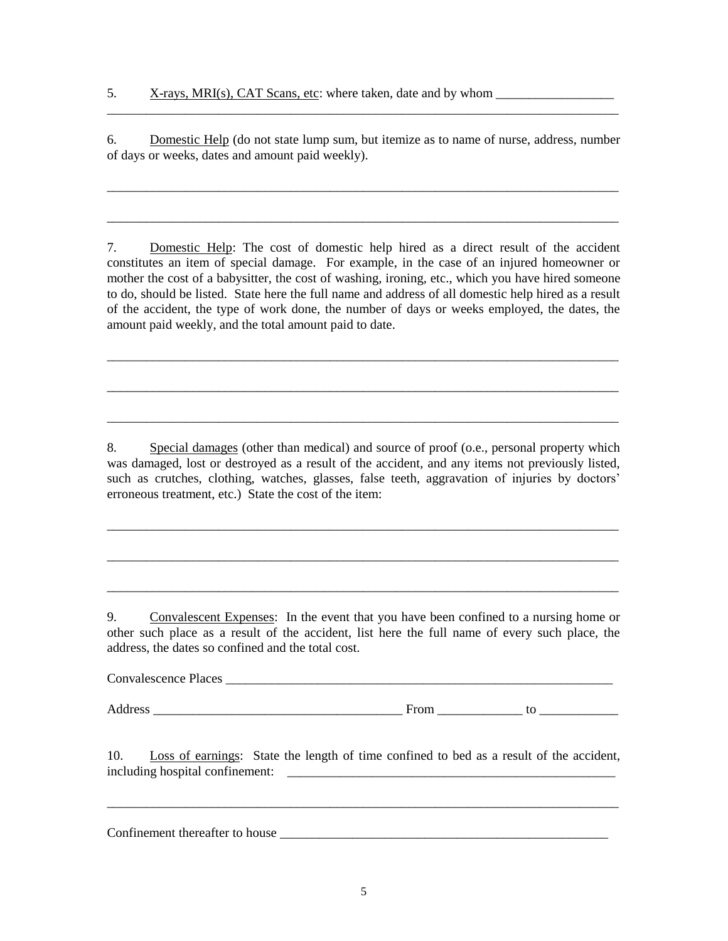6. Domestic Help (do not state lump sum, but itemize as to name of nurse, address, number of days or weeks, dates and amount paid weekly).

\_\_\_\_\_\_\_\_\_\_\_\_\_\_\_\_\_\_\_\_\_\_\_\_\_\_\_\_\_\_\_\_\_\_\_\_\_\_\_\_\_\_\_\_\_\_\_\_\_\_\_\_\_\_\_\_\_\_\_\_\_\_\_\_\_\_\_\_\_\_\_\_\_\_\_\_\_\_

\_\_\_\_\_\_\_\_\_\_\_\_\_\_\_\_\_\_\_\_\_\_\_\_\_\_\_\_\_\_\_\_\_\_\_\_\_\_\_\_\_\_\_\_\_\_\_\_\_\_\_\_\_\_\_\_\_\_\_\_\_\_\_\_\_\_\_\_\_\_\_\_\_\_\_\_\_\_

\_\_\_\_\_\_\_\_\_\_\_\_\_\_\_\_\_\_\_\_\_\_\_\_\_\_\_\_\_\_\_\_\_\_\_\_\_\_\_\_\_\_\_\_\_\_\_\_\_\_\_\_\_\_\_\_\_\_\_\_\_\_\_\_\_\_\_\_\_\_\_\_\_\_\_\_\_\_

7. Domestic Help: The cost of domestic help hired as a direct result of the accident constitutes an item of special damage. For example, in the case of an injured homeowner or mother the cost of a babysitter, the cost of washing, ironing, etc., which you have hired someone to do, should be listed. State here the full name and address of all domestic help hired as a result of the accident, the type of work done, the number of days or weeks employed, the dates, the amount paid weekly, and the total amount paid to date.

\_\_\_\_\_\_\_\_\_\_\_\_\_\_\_\_\_\_\_\_\_\_\_\_\_\_\_\_\_\_\_\_\_\_\_\_\_\_\_\_\_\_\_\_\_\_\_\_\_\_\_\_\_\_\_\_\_\_\_\_\_\_\_\_\_\_\_\_\_\_\_\_\_\_\_\_\_\_

\_\_\_\_\_\_\_\_\_\_\_\_\_\_\_\_\_\_\_\_\_\_\_\_\_\_\_\_\_\_\_\_\_\_\_\_\_\_\_\_\_\_\_\_\_\_\_\_\_\_\_\_\_\_\_\_\_\_\_\_\_\_\_\_\_\_\_\_\_\_\_\_\_\_\_\_\_\_

\_\_\_\_\_\_\_\_\_\_\_\_\_\_\_\_\_\_\_\_\_\_\_\_\_\_\_\_\_\_\_\_\_\_\_\_\_\_\_\_\_\_\_\_\_\_\_\_\_\_\_\_\_\_\_\_\_\_\_\_\_\_\_\_\_\_\_\_\_\_\_\_\_\_\_\_\_\_

8. Special damages (other than medical) and source of proof (o.e., personal property which was damaged, lost or destroyed as a result of the accident, and any items not previously listed, such as crutches, clothing, watches, glasses, false teeth, aggravation of injuries by doctors' erroneous treatment, etc.) State the cost of the item:

\_\_\_\_\_\_\_\_\_\_\_\_\_\_\_\_\_\_\_\_\_\_\_\_\_\_\_\_\_\_\_\_\_\_\_\_\_\_\_\_\_\_\_\_\_\_\_\_\_\_\_\_\_\_\_\_\_\_\_\_\_\_\_\_\_\_\_\_\_\_\_\_\_\_\_\_\_\_

\_\_\_\_\_\_\_\_\_\_\_\_\_\_\_\_\_\_\_\_\_\_\_\_\_\_\_\_\_\_\_\_\_\_\_\_\_\_\_\_\_\_\_\_\_\_\_\_\_\_\_\_\_\_\_\_\_\_\_\_\_\_\_\_\_\_\_\_\_\_\_\_\_\_\_\_\_\_

\_\_\_\_\_\_\_\_\_\_\_\_\_\_\_\_\_\_\_\_\_\_\_\_\_\_\_\_\_\_\_\_\_\_\_\_\_\_\_\_\_\_\_\_\_\_\_\_\_\_\_\_\_\_\_\_\_\_\_\_\_\_\_\_\_\_\_\_\_\_\_\_\_\_\_\_\_\_

9. Convalescent Expenses: In the event that you have been confined to a nursing home or other such place as a result of the accident, list here the full name of every such place, the address, the dates so confined and the total cost.

Convalescence Places

Address \_\_\_\_\_\_\_\_\_\_\_\_\_\_\_\_\_\_\_\_\_\_\_\_\_\_\_\_\_\_\_\_\_\_\_\_\_\_ From \_\_\_\_\_\_\_\_\_\_\_\_\_ to \_\_\_\_\_\_\_\_\_\_\_\_

10. Loss of earnings: State the length of time confined to bed as a result of the accident, including hospital confinement: \_\_\_\_\_\_\_\_\_\_\_\_\_\_\_\_\_\_\_\_\_\_\_\_\_\_\_\_\_\_\_\_\_\_\_\_\_\_\_\_\_\_\_\_\_\_\_\_\_\_

\_\_\_\_\_\_\_\_\_\_\_\_\_\_\_\_\_\_\_\_\_\_\_\_\_\_\_\_\_\_\_\_\_\_\_\_\_\_\_\_\_\_\_\_\_\_\_\_\_\_\_\_\_\_\_\_\_\_\_\_\_\_\_\_\_\_\_\_\_\_\_\_\_\_\_\_\_\_

Confinement thereafter to house \_\_\_\_\_\_\_\_\_\_\_\_\_\_\_\_\_\_\_\_\_\_\_\_\_\_\_\_\_\_\_\_\_\_\_\_\_\_\_\_\_\_\_\_\_\_\_\_\_\_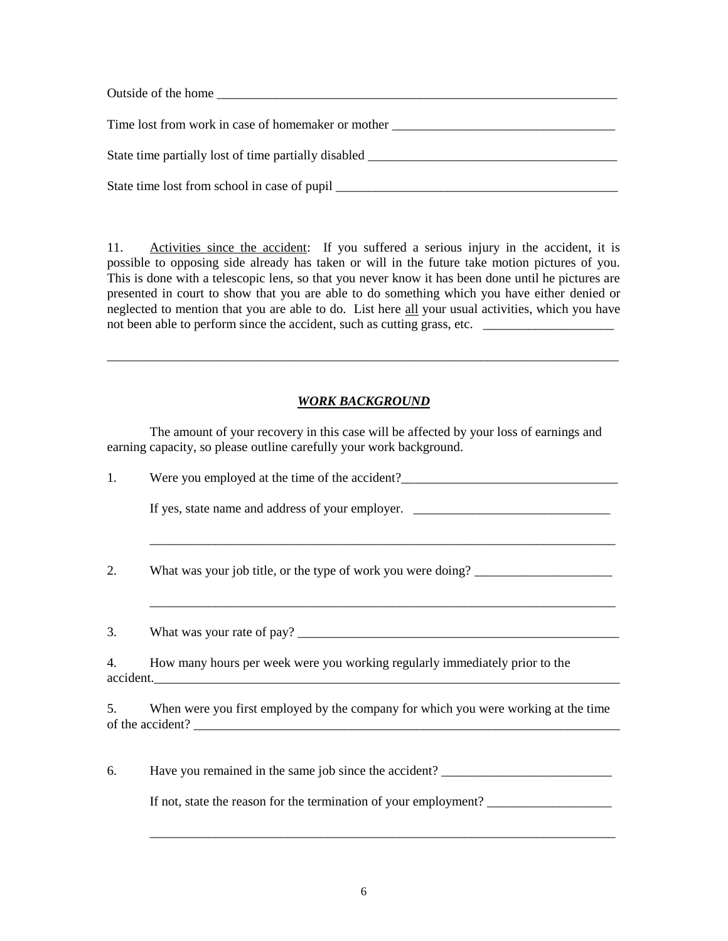| Outside of the home                                                               |
|-----------------------------------------------------------------------------------|
| Time lost from work in case of homemaker or mother                                |
| State time partially lost of time partially disabled ____________________________ |
|                                                                                   |

11. Activities since the accident: If you suffered a serious injury in the accident, it is possible to opposing side already has taken or will in the future take motion pictures of you. This is done with a telescopic lens, so that you never know it has been done until he pictures are presented in court to show that you are able to do something which you have either denied or neglected to mention that you are able to do. List here all your usual activities, which you have not been able to perform since the accident, such as cutting grass, etc. \_\_\_\_\_\_\_\_\_\_\_\_\_\_\_\_\_\_\_\_

## *WORK BACKGROUND*

\_\_\_\_\_\_\_\_\_\_\_\_\_\_\_\_\_\_\_\_\_\_\_\_\_\_\_\_\_\_\_\_\_\_\_\_\_\_\_\_\_\_\_\_\_\_\_\_\_\_\_\_\_\_\_\_\_\_\_\_\_\_\_\_\_\_\_\_\_\_\_\_\_\_\_\_\_\_

The amount of your recovery in this case will be affected by your loss of earnings and earning capacity, so please outline carefully your work background.

| 1. | Were you employed at the time of the accident?                                           |
|----|------------------------------------------------------------------------------------------|
|    |                                                                                          |
| 2. | What was your job title, or the type of work you were doing? ____________________        |
|    |                                                                                          |
| 4. | How many hours per week were you working regularly immediately prior to the<br>accident. |
|    | 5. When were you first employed by the company for which you were working at the time    |
|    |                                                                                          |
| 6. | Have you remained in the same job since the accident?                                    |
|    | If not, state the reason for the termination of your employment?                         |

\_\_\_\_\_\_\_\_\_\_\_\_\_\_\_\_\_\_\_\_\_\_\_\_\_\_\_\_\_\_\_\_\_\_\_\_\_\_\_\_\_\_\_\_\_\_\_\_\_\_\_\_\_\_\_\_\_\_\_\_\_\_\_\_\_\_\_\_\_\_\_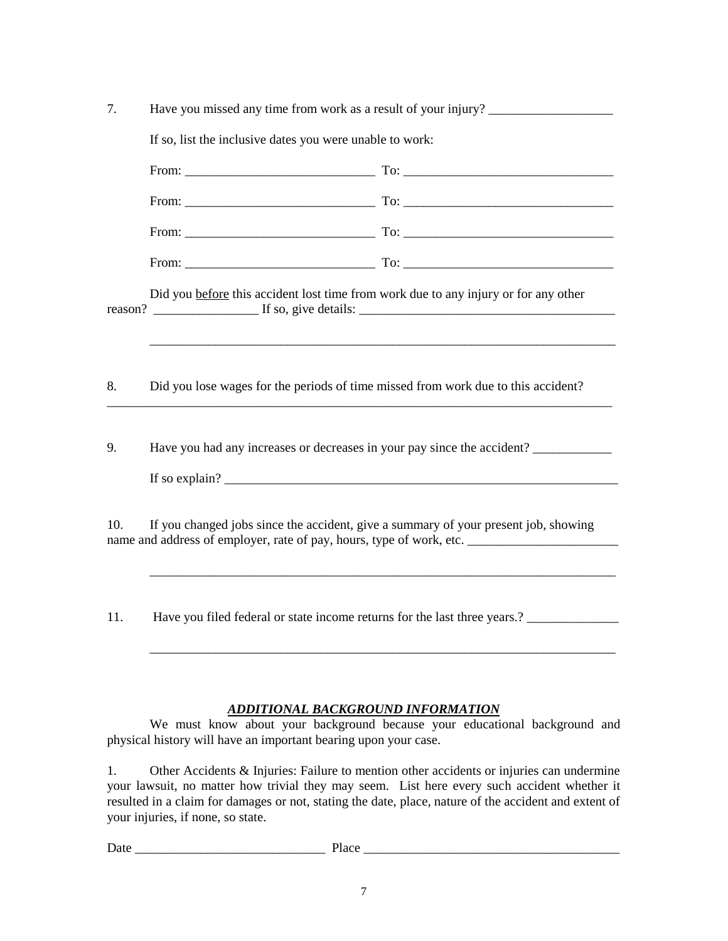| 7.      | Have you missed any time from work as a result of your injury?<br>If so, list the inclusive dates you were unable to work: |                                                                           |  |  |
|---------|----------------------------------------------------------------------------------------------------------------------------|---------------------------------------------------------------------------|--|--|
|         |                                                                                                                            |                                                                           |  |  |
|         |                                                                                                                            |                                                                           |  |  |
|         |                                                                                                                            |                                                                           |  |  |
|         |                                                                                                                            |                                                                           |  |  |
|         |                                                                                                                            |                                                                           |  |  |
| reason? | Did you before this accident lost time from work due to any injury or for any other                                        |                                                                           |  |  |
| 8.      | Did you lose wages for the periods of time missed from work due to this accident?                                          |                                                                           |  |  |
| 9.      |                                                                                                                            | Have you had any increases or decreases in your pay since the accident?   |  |  |
| 10.     | If you changed jobs since the accident, give a summary of your present job, showing                                        | name and address of employer, rate of pay, hours, type of work, etc.      |  |  |
| 11.     |                                                                                                                            | Have you filed federal or state income returns for the last three years.? |  |  |

## *ADDITIONAL BACKGROUND INFORMATION*

\_\_\_\_\_\_\_\_\_\_\_\_\_\_\_\_\_\_\_\_\_\_\_\_\_\_\_\_\_\_\_\_\_\_\_\_\_\_\_\_\_\_\_\_\_\_\_\_\_\_\_\_\_\_\_\_\_\_\_\_\_\_\_\_\_\_\_\_\_\_\_

We must know about your background because your educational background and physical history will have an important bearing upon your case.

1. Other Accidents & Injuries: Failure to mention other accidents or injuries can undermine your lawsuit, no matter how trivial they may seem. List here every such accident whether it resulted in a claim for damages or not, stating the date, place, nature of the accident and extent of your injuries, if none, so state.

Date \_\_\_\_\_\_\_\_\_\_\_\_\_\_\_\_\_\_\_\_\_\_\_\_\_\_\_\_\_ Place \_\_\_\_\_\_\_\_\_\_\_\_\_\_\_\_\_\_\_\_\_\_\_\_\_\_\_\_\_\_\_\_\_\_\_\_\_\_\_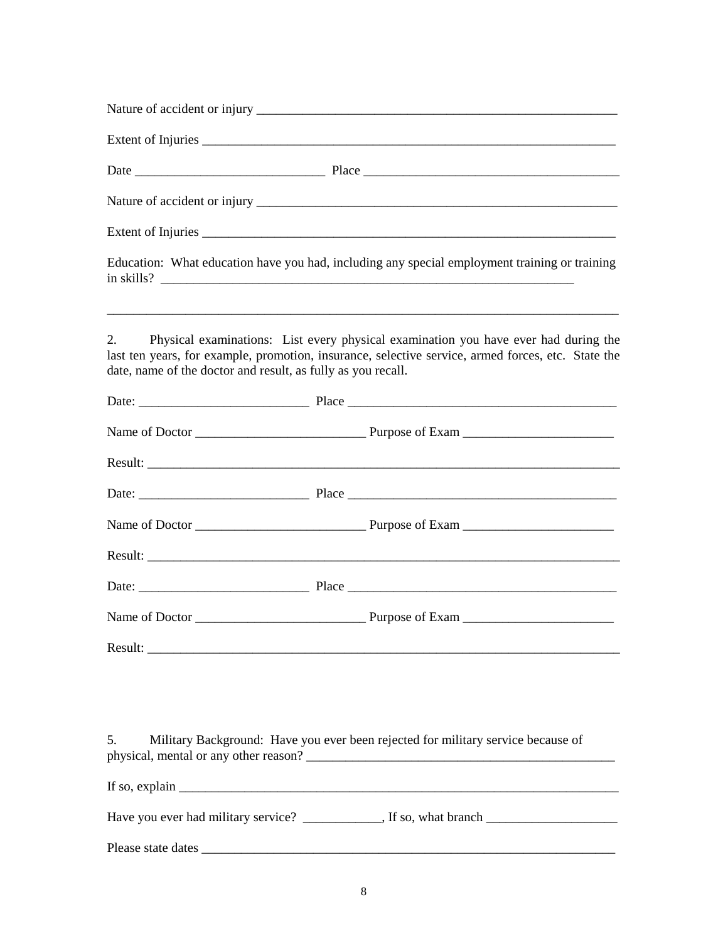| Education: What education have you had, including any special employment training or training                                                                                                                                                                                                                                                                                                           |
|---------------------------------------------------------------------------------------------------------------------------------------------------------------------------------------------------------------------------------------------------------------------------------------------------------------------------------------------------------------------------------------------------------|
| Physical examinations: List every physical examination you have ever had during the<br>2.<br>last ten years, for example, promotion, insurance, selective service, armed forces, etc. State the<br>date, name of the doctor and result, as fully as you recall.                                                                                                                                         |
|                                                                                                                                                                                                                                                                                                                                                                                                         |
|                                                                                                                                                                                                                                                                                                                                                                                                         |
|                                                                                                                                                                                                                                                                                                                                                                                                         |
|                                                                                                                                                                                                                                                                                                                                                                                                         |
|                                                                                                                                                                                                                                                                                                                                                                                                         |
|                                                                                                                                                                                                                                                                                                                                                                                                         |
|                                                                                                                                                                                                                                                                                                                                                                                                         |
|                                                                                                                                                                                                                                                                                                                                                                                                         |
|                                                                                                                                                                                                                                                                                                                                                                                                         |
|                                                                                                                                                                                                                                                                                                                                                                                                         |
| Military Background: Have you ever been rejected for military service because of<br>5.                                                                                                                                                                                                                                                                                                                  |
| If so, explain $\frac{1}{\sqrt{1-\frac{1}{2}}\sqrt{1-\frac{1}{2}}\sqrt{1-\frac{1}{2}}\sqrt{1-\frac{1}{2}}\sqrt{1-\frac{1}{2}}\sqrt{1-\frac{1}{2}}\sqrt{1-\frac{1}{2}}\sqrt{1-\frac{1}{2}}\sqrt{1-\frac{1}{2}}\sqrt{1-\frac{1}{2}}\sqrt{1-\frac{1}{2}}\sqrt{1-\frac{1}{2}}\sqrt{1-\frac{1}{2}}\sqrt{1-\frac{1}{2}}\sqrt{1-\frac{1}{2}}\sqrt{1-\frac{1}{2}}\sqrt{1-\frac{1}{2}}\sqrt{1-\frac{1}{2}}\sqrt$ |
|                                                                                                                                                                                                                                                                                                                                                                                                         |
|                                                                                                                                                                                                                                                                                                                                                                                                         |